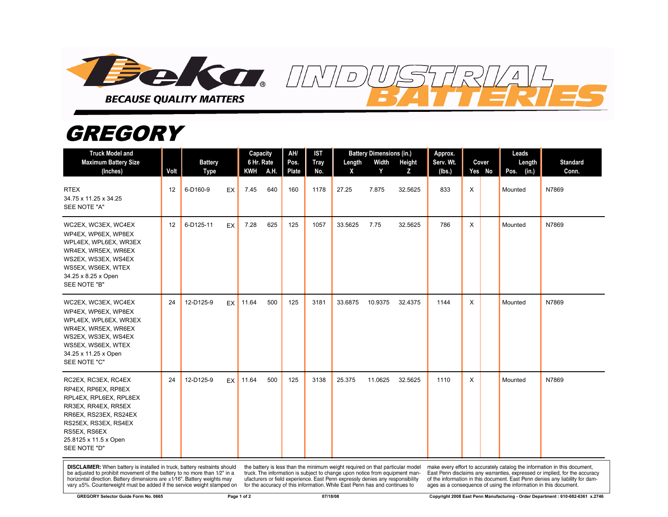

## *GREGORY*

| <b>Truck Model and</b><br><b>Maximum Battery Size</b><br>(Inches)                                                                                                                                     | Volt | <b>Battery</b><br><b>Type</b> | <b>KWH</b> | Capacity<br>6 Hr. Rate<br>A.H. | AH/<br>Pos.<br>Plate | <b>IST</b><br><b>Tray</b><br>No. | Length<br>X | <b>Battery Dimensions (in.)</b><br>Width<br>Y | Height<br>z | Approx.<br>Serv. Wt.<br>(lbs.) | Cover<br>Yes No | Leads<br>Length<br>(in.)<br>Pos. | <b>Standard</b><br>Conn. |
|-------------------------------------------------------------------------------------------------------------------------------------------------------------------------------------------------------|------|-------------------------------|------------|--------------------------------|----------------------|----------------------------------|-------------|-----------------------------------------------|-------------|--------------------------------|-----------------|----------------------------------|--------------------------|
| <b>RTEX</b><br>34.75 x 11.25 x 34.25<br>SEE NOTE "A"                                                                                                                                                  | 12   | 6-D160-9<br>EX                | 7.45       | 640                            | 160                  | 1178                             | 27.25       | 7.875                                         | 32.5625     | 833                            | X               | Mounted                          | N7869                    |
| WC2EX, WC3EX, WC4EX<br>WP4EX, WP6EX, WP8EX<br>WPL4EX, WPL6EX, WR3EX<br>WR4EX, WR5EX, WR6EX<br>WS2EX, WS3EX, WS4EX<br>WS5EX, WS6EX, WTEX<br>34.25 x 8.25 x Open<br>SEE NOTE "B"                        | 12   | 6-D125-11<br>EX               | 7.28       | 625                            | 125                  | 1057                             | 33.5625     | 7.75                                          | 32.5625     | 786                            | X               | Mounted                          | N7869                    |
| WC2EX, WC3EX, WC4EX<br>WP4EX, WP6EX, WP8EX<br>WPL4EX, WPL6EX, WR3EX<br>WR4EX, WR5EX, WR6EX<br>WS2EX, WS3EX, WS4EX<br>WS5EX, WS6EX, WTEX<br>34.25 x 11.25 x Open<br>SEE NOTE "C"                       | 24   | 12-D125-9<br>EX <sup>I</sup>  | 11.64      | 500                            | 125                  | 3181                             | 33.6875     | 10.9375                                       | 32.4375     | 1144                           | X               | Mounted                          | N7869                    |
| RC2EX, RC3EX, RC4EX<br>RP4EX, RP6EX, RP8EX<br>RPL4EX, RPL6EX, RPL8EX<br>RR3EX, RR4EX, RR5EX<br>RR6EX, RS23EX, RS24EX<br>RS25EX, RS3EX, RS4EX<br>RS5EX, RS6EX<br>25.8125 x 11.5 x Open<br>SEE NOTE "D" | 24   | 12-D125-9<br>EX               | 11.64      | 500                            | 125                  | 3138                             | 25.375      | 11.0625                                       | 32.5625     | 1110                           | X               | Mounted                          | N7869                    |

**DISCLAIMER:** When battery is installed in truck, battery restraints should be adjusted to prohibit movement of the battery to no more than 1/2" in a horizontal direction. Battery dimensions are  $\pm 1/16$ ". Battery weights may vary ±5%. Counterweight must be added if the service weight stamped on

the battery is less than the minimum weight required on that particular model<br>truck. The information is subject to change upon notice from equipment manufacturers or field experience. East Penn expressly denies any responsibility for the accuracy of this information. While East Penn has and continues to

make every effort to accurately catalog the information in this document,<br>East Penn disclaims any warranties, expressed or implied, for the accuracy of the information in this document. East Penn denies any liability for damages as a consequence of using the information in this document.